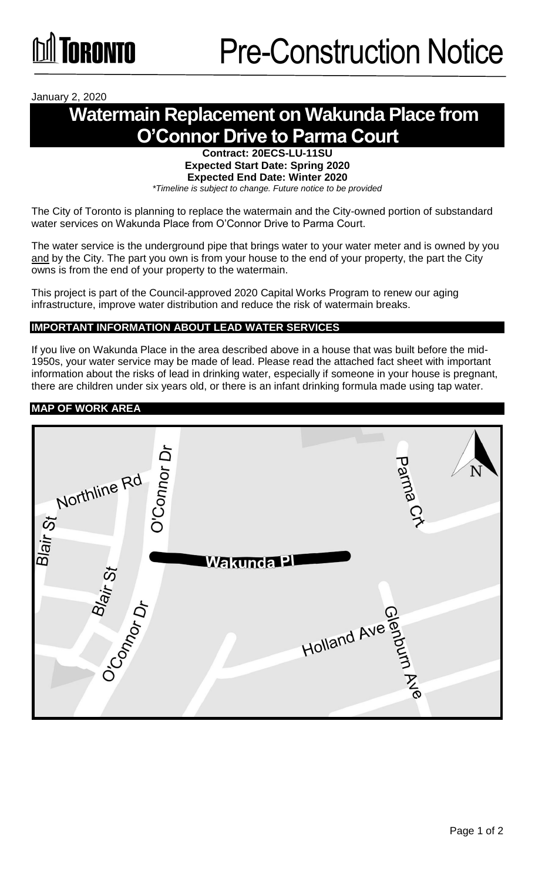January 2, 2020

# **Watermain Replacement on Wakunda Place from O'Connor Drive to Parma Court**

**Contract: 20ECS-LU-11SU Expected Start Date: Spring 2020 Expected End Date: Winter 2020**  *\*Timeline is subject to change. Future notice to be provided*

The City of Toronto is planning to replace the watermain and the City-owned portion of substandard water services on Wakunda Place from O'Connor Drive to Parma Court.

The water service is the underground pipe that brings water to your water meter and is owned by you and by the City. The part you own is from your house to the end of your property, the part the City owns is from the end of your property to the watermain.

This project is part of the Council-approved 2020 Capital Works Program to renew our aging infrastructure, improve water distribution and reduce the risk of watermain breaks.

### **IMPORTANT INFORMATION ABOUT LEAD WATER SERVICES**

If you live on Wakunda Place in the area described above in a house that was built before the mid-1950s, your water service may be made of lead. Please read the attached fact sheet with important information about the risks of lead in drinking water, especially if someone in your house is pregnant, there are children under six years old, or there is an infant drinking formula made using tap water.

#### **MAP OF WORK AREA**

| O'Connor Dr<br>.orthline Rd<br>.orthline Rd<br>The Rd | Parma Cr       | N |
|-------------------------------------------------------|----------------|---|
|                                                       | Wakunda Pl     |   |
| Blair <sub>St</sub><br>O'Connor Dr                    |                |   |
|                                                       | Holland Ave 90 |   |